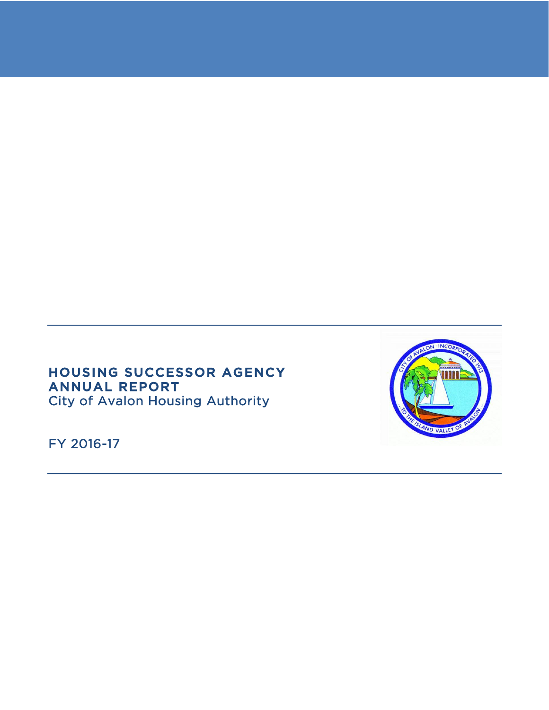# HOUSING SUCCESSOR AGENCY ANNUAL REPORT City of Avalon Housing Authority

FY 2016-17

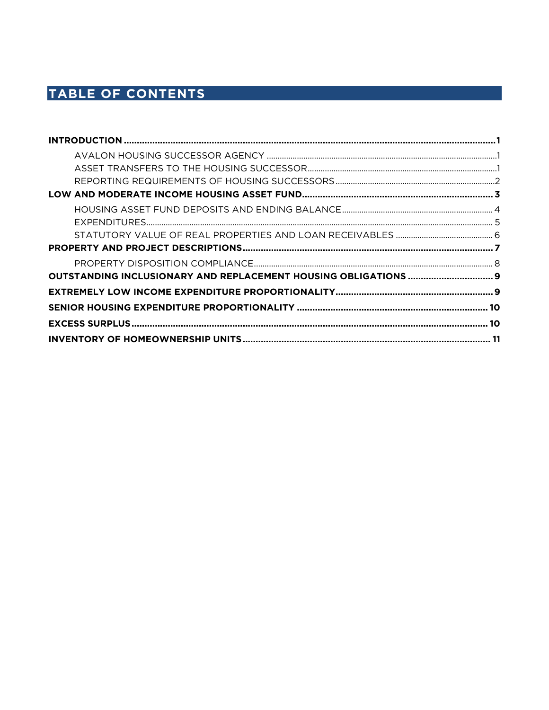# TABLE OF CONTENTS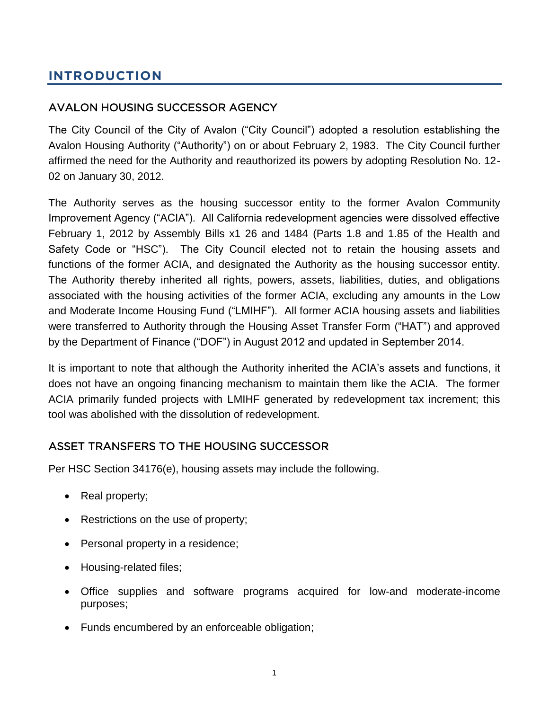# <span id="page-2-0"></span>**INTRODUCTION**

# <span id="page-2-1"></span>AVALON HOUSING SUCCESSOR AGENCY

The City Council of the City of Avalon ("City Council") adopted a resolution establishing the Avalon Housing Authority ("Authority") on or about February 2, 1983. The City Council further affirmed the need for the Authority and reauthorized its powers by adopting Resolution No. 12- 02 on January 30, 2012.

The Authority serves as the housing successor entity to the former Avalon Community Improvement Agency ("ACIA"). All California redevelopment agencies were dissolved effective February 1, 2012 by Assembly Bills x1 26 and 1484 (Parts 1.8 and 1.85 of the Health and Safety Code or "HSC"). The City Council elected not to retain the housing assets and functions of the former ACIA, and designated the Authority as the housing successor entity. The Authority thereby inherited all rights, powers, assets, liabilities, duties, and obligations associated with the housing activities of the former ACIA, excluding any amounts in the Low and Moderate Income Housing Fund ("LMIHF"). All former ACIA housing assets and liabilities were transferred to Authority through the Housing Asset Transfer Form ("HAT") and approved by the Department of Finance ("DOF") in August 2012 and updated in September 2014.

It is important to note that although the Authority inherited the ACIA's assets and functions, it does not have an ongoing financing mechanism to maintain them like the ACIA. The former ACIA primarily funded projects with LMIHF generated by redevelopment tax increment; this tool was abolished with the dissolution of redevelopment.

### <span id="page-2-2"></span>ASSET TRANSFERS TO THE HOUSING SUCCESSOR

Per HSC Section 34176(e), housing assets may include the following.

- Real property;
- Restrictions on the use of property;
- Personal property in a residence;
- Housing-related files;
- Office supplies and software programs acquired for low-and moderate-income purposes;
- Funds encumbered by an enforceable obligation;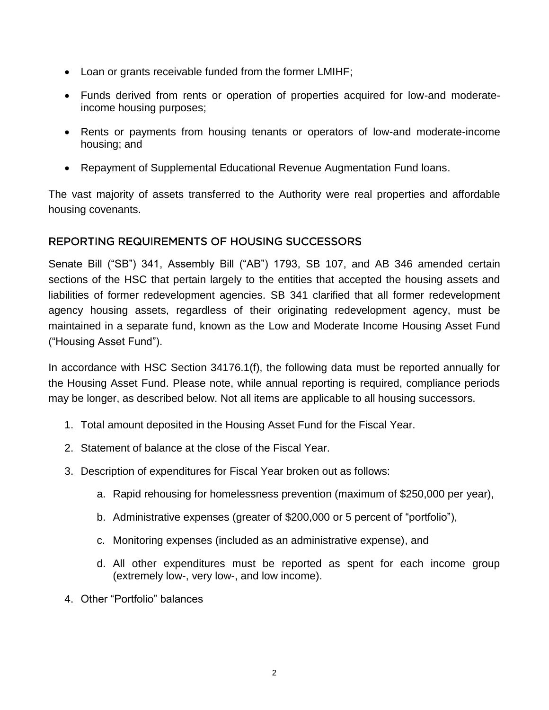- Loan or grants receivable funded from the former LMIHF;
- Funds derived from rents or operation of properties acquired for low-and moderateincome housing purposes;
- Rents or payments from housing tenants or operators of low-and moderate-income housing; and
- Repayment of Supplemental Educational Revenue Augmentation Fund loans.

The vast majority of assets transferred to the Authority were real properties and affordable housing covenants.

# <span id="page-3-0"></span>REPORTING REQUIREMENTS OF HOUSING SUCCESSORS

Senate Bill ("SB") 341, Assembly Bill ("AB") 1793, SB 107, and AB 346 amended certain sections of the HSC that pertain largely to the entities that accepted the housing assets and liabilities of former redevelopment agencies. SB 341 clarified that all former redevelopment agency housing assets, regardless of their originating redevelopment agency, must be maintained in a separate fund, known as the Low and Moderate Income Housing Asset Fund ("Housing Asset Fund").

In accordance with HSC Section 34176.1(f), the following data must be reported annually for the Housing Asset Fund. Please note, while annual reporting is required, compliance periods may be longer, as described below. Not all items are applicable to all housing successors.

- 1. Total amount deposited in the Housing Asset Fund for the Fiscal Year.
- 2. Statement of balance at the close of the Fiscal Year.
- 3. Description of expenditures for Fiscal Year broken out as follows:
	- a. Rapid rehousing for homelessness prevention (maximum of \$250,000 per year),
	- b. Administrative expenses (greater of \$200,000 or 5 percent of "portfolio"),
	- c. Monitoring expenses (included as an administrative expense), and
	- d. All other expenditures must be reported as spent for each income group (extremely low-, very low-, and low income).
- 4. Other "Portfolio" balances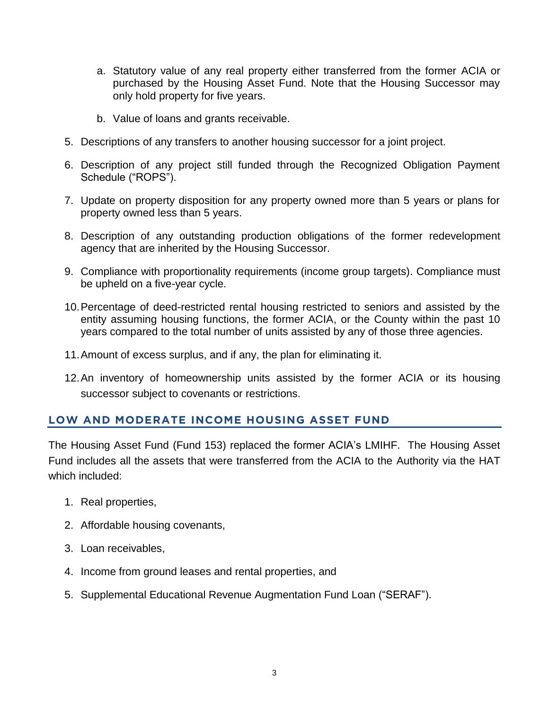- a. Statutory value of any real property either transferred from the former ACIA or purchased by the Housing Asset Fund. Note that the Housing Successor may only hold property for five years.
- b. Value of loans and grants receivable.
- 5. Descriptions of any transfers to another housing successor for a joint project.
- 6. Description of any project still funded through the Recognized Obligation Payment Schedule ("ROPS").
- 7. Update on property disposition for any property owned more than 5 years or plans for property owned less than 5 years.
- 8. Description of any outstanding production obligations of the former redevelopment agency that are inherited by the Housing Successor.
- 9. Compliance with proportionality requirements (income group targets). Compliance must be upheld on a five-year cycle.
- 10.Percentage of deed-restricted rental housing restricted to seniors and assisted by the entity assuming housing functions, the former ACIA, or the County within the past 10 years compared to the total number of units assisted by any of those three agencies.
- 11.Amount of excess surplus, and if any, the plan for eliminating it.
- 12.An inventory of homeownership units assisted by the former ACIA or its housing successor subject to covenants or restrictions.

# <span id="page-4-0"></span>**LOW AND MODERATE INCOME HOUSING ASSET FUND**

The Housing Asset Fund (Fund 153) replaced the former ACIA's LMIHF. The Housing Asset Fund includes all the assets that were transferred from the ACIA to the Authority via the HAT which included:

- 1. Real properties,
- 2. Affordable housing covenants,
- 3. Loan receivables,
- 4. Income from ground leases and rental properties, and
- 5. Supplemental Educational Revenue Augmentation Fund Loan ("SERAF").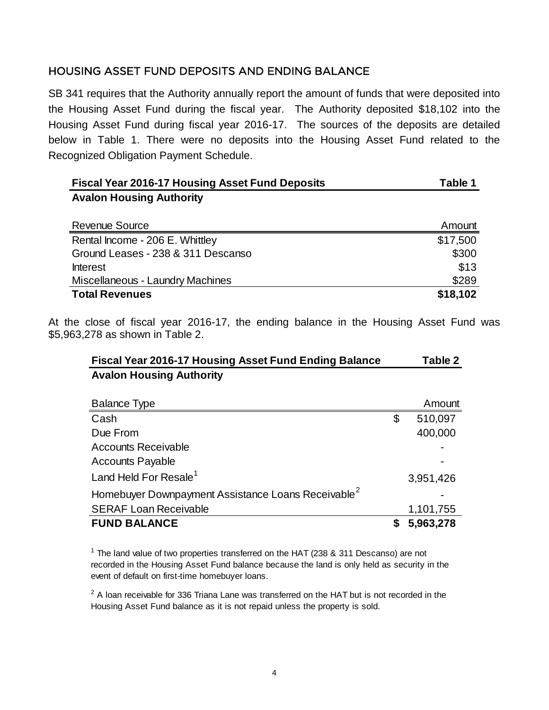# <span id="page-5-0"></span>HOUSING ASSET FUND DEPOSITS AND ENDING BALANCE

SB 341 requires that the Authority annually report the amount of funds that were deposited into the Housing Asset Fund during the fiscal year. The Authority deposited \$18,102 into the Housing Asset Fund during fiscal year 2016-17. The sources of the deposits are detailed below in Table 1. There were no deposits into the Housing Asset Fund related to the Recognized Obligation Payment Schedule.

| <b>Fiscal Year 2016-17 Housing Asset Fund Deposits</b> | Table 1  |  |
|--------------------------------------------------------|----------|--|
| <b>Avalon Housing Authority</b>                        |          |  |
|                                                        |          |  |
| <b>Revenue Source</b>                                  | Amount   |  |
| Rental Income - 206 E. Whittley                        | \$17,500 |  |
| Ground Leases - 238 & 311 Descanso                     | \$300    |  |
| <b>Interest</b>                                        | \$13     |  |
| <b>Miscellaneous - Laundry Machines</b>                | \$289    |  |
| <b>Total Revenues</b>                                  | \$18,102 |  |

At the close of fiscal year 2016-17, the ending balance in the Housing Asset Fund was \$5,963,278 as shown in Table 2.

| <b>Fiscal Year 2016-17 Housing Asset Fund Ending Balance</b> | Table 2 |
|--------------------------------------------------------------|---------|
| <b>Avalon Housing Authority</b>                              |         |
|                                                              |         |

| <b>Balance Type</b>                                            | Amount        |
|----------------------------------------------------------------|---------------|
| Cash                                                           | \$<br>510,097 |
| Due From                                                       | 400,000       |
| <b>Accounts Receivable</b>                                     |               |
| <b>Accounts Payable</b>                                        |               |
| Land Held For Resale <sup>1</sup>                              | 3,951,426     |
| Homebuyer Downpayment Assistance Loans Receivable <sup>2</sup> |               |
| <b>SERAF Loan Receivable</b>                                   | 1,101,755     |
| <b>FUND BALANCE</b>                                            | 5,963,278     |

 $1$  The land value of two properties transferred on the HAT (238 & 311 Descanso) are not recorded in the Housing Asset Fund balance because the land is only held as security in the event of default on first-time homebuyer loans.

 $2$  A loan receivable for 336 Triana Lane was transferred on the HAT but is not recorded in the Housing Asset Fund balance as it is not repaid unless the property is sold.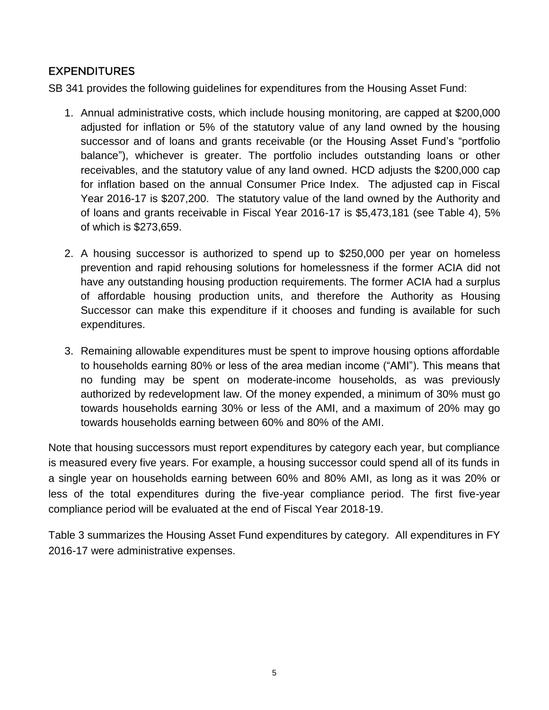# <span id="page-6-0"></span>EXPENDITURES

SB 341 provides the following guidelines for expenditures from the Housing Asset Fund:

- 1. Annual administrative costs, which include housing monitoring, are capped at \$200,000 adjusted for inflation or 5% of the statutory value of any land owned by the housing successor and of loans and grants receivable (or the Housing Asset Fund's "portfolio balance"), whichever is greater. The portfolio includes outstanding loans or other receivables, and the statutory value of any land owned. HCD adjusts the \$200,000 cap for inflation based on the annual Consumer Price Index. The adjusted cap in Fiscal Year 2016-17 is \$207,200. The statutory value of the land owned by the Authority and of loans and grants receivable in Fiscal Year 2016-17 is \$5,473,181 (see Table 4), 5% of which is \$273,659.
- 2. A housing successor is authorized to spend up to \$250,000 per year on homeless prevention and rapid rehousing solutions for homelessness if the former ACIA did not have any outstanding housing production requirements. The former ACIA had a surplus of affordable housing production units, and therefore the Authority as Housing Successor can make this expenditure if it chooses and funding is available for such expenditures.
- 3. Remaining allowable expenditures must be spent to improve housing options affordable to households earning 80% or less of the area median income ("AMI"). This means that no funding may be spent on moderate-income households, as was previously authorized by redevelopment law. Of the money expended, a minimum of 30% must go towards households earning 30% or less of the AMI, and a maximum of 20% may go towards households earning between 60% and 80% of the AMI.

Note that housing successors must report expenditures by category each year, but compliance is measured every five years. For example, a housing successor could spend all of its funds in a single year on households earning between 60% and 80% AMI, as long as it was 20% or less of the total expenditures during the five-year compliance period. The first five-year compliance period will be evaluated at the end of Fiscal Year 2018-19.

Table 3 summarizes the Housing Asset Fund expenditures by category. All expenditures in FY 2016-17 were administrative expenses.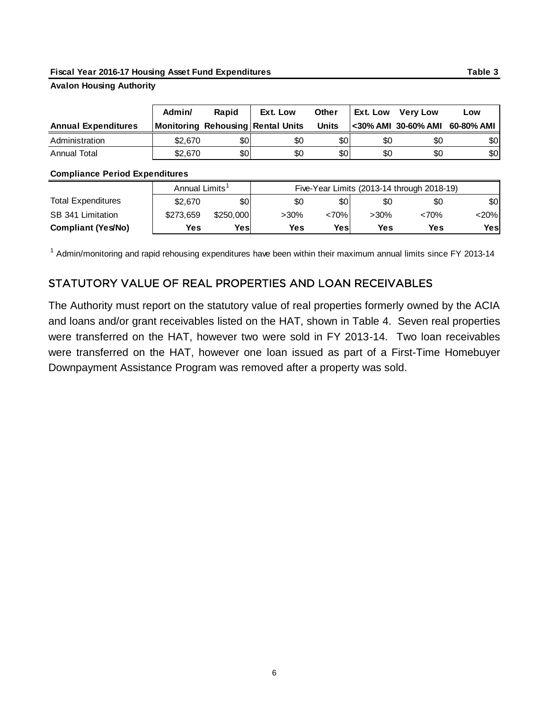#### **Fiscal Year 2016-17 Housing Asset Fund Expenditures Table 3**

#### **Avalon Housing Authority**

|                            | Admin/  | Rapid | Ext. Low                          | <b>Other</b> | Ext. Low | <b>Verv Low</b>                | Low |
|----------------------------|---------|-------|-----------------------------------|--------------|----------|--------------------------------|-----|
| <b>Annual Expenditures</b> |         |       | Monitoring Rehousing Rental Units | <b>Units</b> |          | <30% AMI 30-60% AMI 60-80% AMI |     |
| Administration             | \$2.670 | \$01  | \$0                               | \$0          | \$0      | \$0                            | \$0 |
| Annual Total               | \$2,670 | \$0   | \$0                               | \$0          | \$0      | \$0                            | \$0 |

#### **Compliance Period Expenditures**

|                           | Annual Limits' |           | Five-Year Limits (2013-14 through 2018-19) |       |         |            |         |
|---------------------------|----------------|-----------|--------------------------------------------|-------|---------|------------|---------|
| <b>Total Expenditures</b> | \$2,670        | \$0       | \$0                                        | \$0   | \$0     | \$0        | \$0     |
| SB 341 Limitation         | \$273,659      | \$250,000 | >30%                                       | <70%l | $>30\%$ | <70%       | $<$ 20% |
| <b>Compliant (Yes/No)</b> | Yes            | Yesl      | <b>Yes</b>                                 | Yes   | Yes     | <b>Yes</b> | Yesl    |

<span id="page-7-0"></span><sup>1</sup> Admin/monitoring and rapid rehousing expenditures have been within their maximum annual limits since FY 2013-14

### STATUTORY VALUE OF REAL PROPERTIES AND LOAN RECEIVABLES

The Authority must report on the statutory value of real properties formerly owned by the ACIA and loans and/or grant receivables listed on the HAT, shown in Table 4. Seven real properties were transferred on the HAT, however two were sold in FY 2013-14. Two loan receivables were transferred on the HAT, however one loan issued as part of a First-Time Homebuyer Downpayment Assistance Program was removed after a property was sold.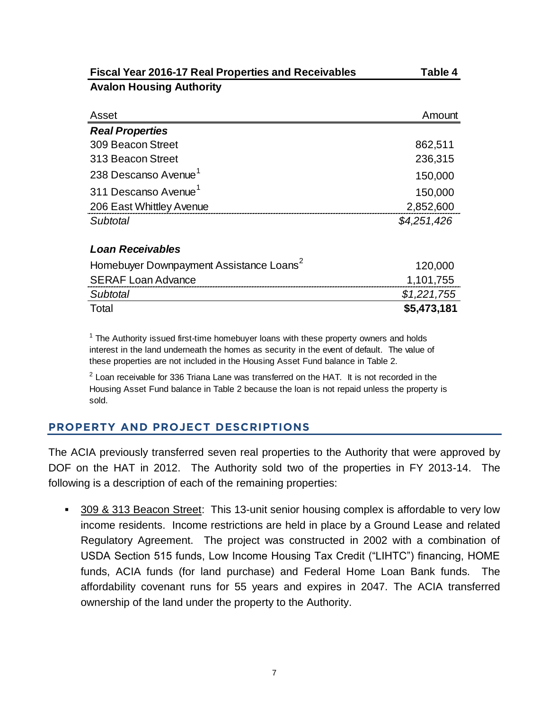| <b>Fiscal Year 2016-17 Real Properties and Receivables</b> | Table 4     |
|------------------------------------------------------------|-------------|
| <b>Avalon Housing Authority</b>                            |             |
|                                                            |             |
| Asset                                                      | Amount      |
| <b>Real Properties</b>                                     |             |
| 309 Beacon Street                                          | 862,511     |
| 313 Beacon Street                                          | 236,315     |
| 238 Descanso Avenue <sup>1</sup>                           | 150,000     |
| 311 Descanso Avenue <sup>1</sup>                           | 150,000     |
| 206 East Whittley Avenue                                   | 2,852,600   |
| Subtotal                                                   | \$4,251,426 |
| Loan Receivables                                           |             |
| Homebuyer Downpayment Assistance Loans <sup>2</sup>        | 120,000     |
| <b>SERAF Loan Advance</b>                                  | 1,101,755   |
| Subtotal                                                   | \$1,221,755 |
| Total                                                      | \$5,473,181 |

 $1$  The Authority issued first-time homebuyer loans with these property owners and holds interest in the land underneath the homes as security in the event of default. The value of these properties are not included in the Housing Asset Fund balance in Table 2.

 $2$  Loan receivable for 336 Triana Lane was transferred on the HAT. It is not recorded in the Housing Asset Fund balance in Table 2 because the loan is not repaid unless the property is sold.

### <span id="page-8-0"></span>**PROPERTY AND PROJECT DESCRIPTIONS**

The ACIA previously transferred seven real properties to the Authority that were approved by DOF on the HAT in 2012. The Authority sold two of the properties in FY 2013-14. The following is a description of each of the remaining properties:

▪ 309 & 313 Beacon Street: This 13-unit senior housing complex is affordable to very low income residents. Income restrictions are held in place by a Ground Lease and related Regulatory Agreement. The project was constructed in 2002 with a combination of USDA Section 515 funds, Low Income Housing Tax Credit ("LIHTC") financing, HOME funds, ACIA funds (for land purchase) and Federal Home Loan Bank funds. The affordability covenant runs for 55 years and expires in 2047. The ACIA transferred ownership of the land under the property to the Authority.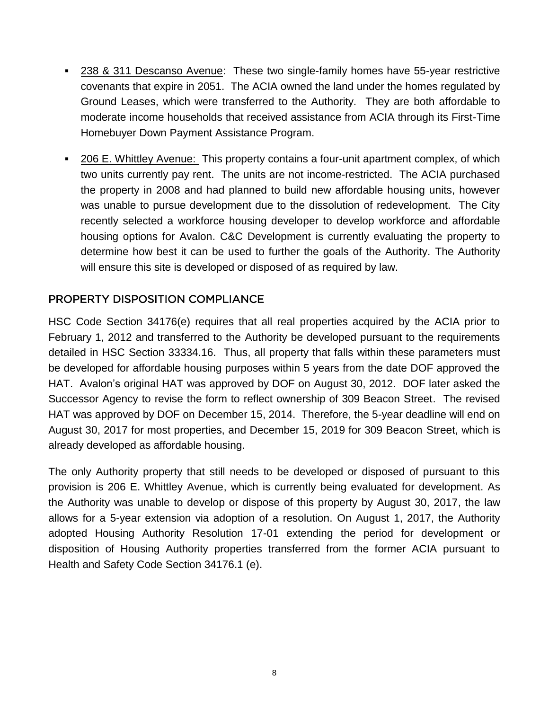- 238 & 311 Descanso Avenue: These two single-family homes have 55-year restrictive covenants that expire in 2051. The ACIA owned the land under the homes regulated by Ground Leases, which were transferred to the Authority. They are both affordable to moderate income households that received assistance from ACIA through its First-Time Homebuyer Down Payment Assistance Program.
- 206 E. Whittley Avenue: This property contains a four-unit apartment complex, of which two units currently pay rent. The units are not income-restricted. The ACIA purchased the property in 2008 and had planned to build new affordable housing units, however was unable to pursue development due to the dissolution of redevelopment. The City recently selected a workforce housing developer to develop workforce and affordable housing options for Avalon. C&C Development is currently evaluating the property to determine how best it can be used to further the goals of the Authority. The Authority will ensure this site is developed or disposed of as required by law.

# <span id="page-9-0"></span>PROPERTY DISPOSITION COMPLIANCE

HSC Code Section 34176(e) requires that all real properties acquired by the ACIA prior to February 1, 2012 and transferred to the Authority be developed pursuant to the requirements detailed in HSC Section 33334.16. Thus, all property that falls within these parameters must be developed for affordable housing purposes within 5 years from the date DOF approved the HAT. Avalon's original HAT was approved by DOF on August 30, 2012. DOF later asked the Successor Agency to revise the form to reflect ownership of 309 Beacon Street. The revised HAT was approved by DOF on December 15, 2014. Therefore, the 5-year deadline will end on August 30, 2017 for most properties, and December 15, 2019 for 309 Beacon Street, which is already developed as affordable housing.

The only Authority property that still needs to be developed or disposed of pursuant to this provision is 206 E. Whittley Avenue, which is currently being evaluated for development. As the Authority was unable to develop or dispose of this property by August 30, 2017, the law allows for a 5-year extension via adoption of a resolution. On August 1, 2017, the Authority adopted Housing Authority Resolution 17-01 extending the period for development or disposition of Housing Authority properties transferred from the former ACIA pursuant to Health and Safety Code Section 34176.1 (e).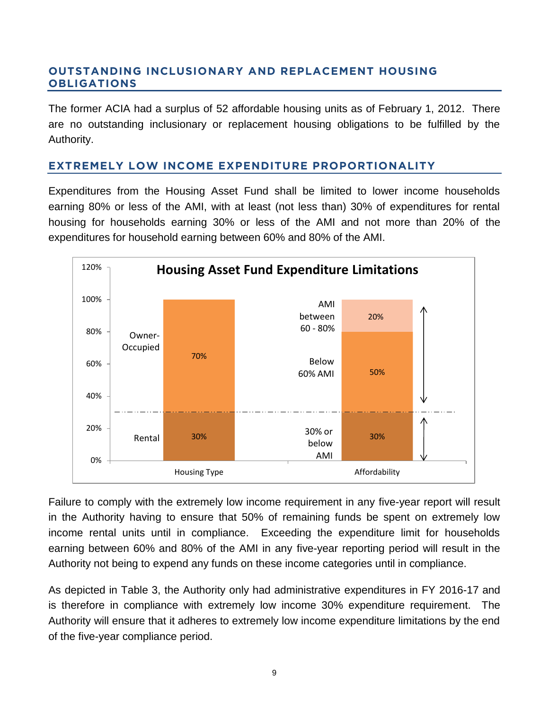### <span id="page-10-0"></span>**OUTSTANDING INCLUSIONARY AND REPLACEMENT HOUSING OBLIGATIONS**

The former ACIA had a surplus of 52 affordable housing units as of February 1, 2012. There are no outstanding inclusionary or replacement housing obligations to be fulfilled by the Authority.

### <span id="page-10-1"></span>**EXTREMELY LOW INCOME EXPENDITURE PROPORTIONALITY**

Expenditures from the Housing Asset Fund shall be limited to lower income households earning 80% or less of the AMI, with at least (not less than) 30% of expenditures for rental housing for households earning 30% or less of the AMI and not more than 20% of the expenditures for household earning between 60% and 80% of the AMI.



Failure to comply with the extremely low income requirement in any five-year report will result in the Authority having to ensure that 50% of remaining funds be spent on extremely low income rental units until in compliance. Exceeding the expenditure limit for households earning between 60% and 80% of the AMI in any five-year reporting period will result in the Authority not being to expend any funds on these income categories until in compliance.

As depicted in Table 3, the Authority only had administrative expenditures in FY 2016-17 and is therefore in compliance with extremely low income 30% expenditure requirement. The Authority will ensure that it adheres to extremely low income expenditure limitations by the end of the five-year compliance period.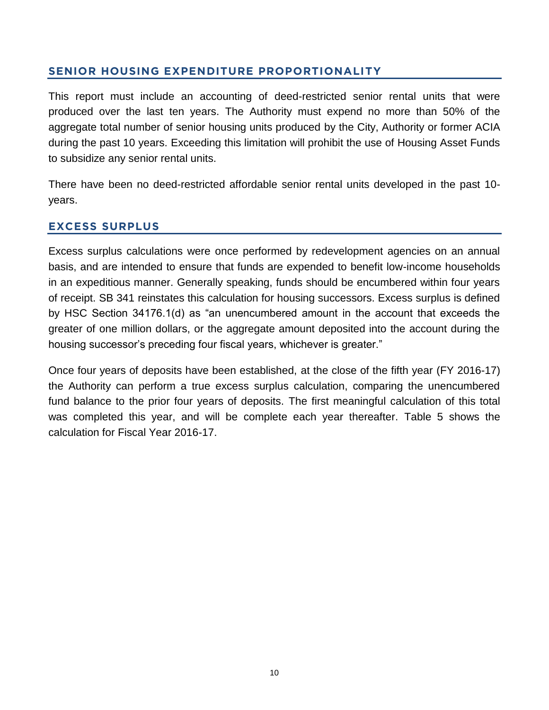## <span id="page-11-0"></span>**SENIOR HOUSING EXPENDITURE PROPORTIONALITY**

This report must include an accounting of deed-restricted senior rental units that were produced over the last ten years. The Authority must expend no more than 50% of the aggregate total number of senior housing units produced by the City, Authority or former ACIA during the past 10 years. Exceeding this limitation will prohibit the use of Housing Asset Funds to subsidize any senior rental units.

There have been no deed-restricted affordable senior rental units developed in the past 10 years.

## <span id="page-11-1"></span>**EXCESS SURPLUS**

Excess surplus calculations were once performed by redevelopment agencies on an annual basis, and are intended to ensure that funds are expended to benefit low-income households in an expeditious manner. Generally speaking, funds should be encumbered within four years of receipt. SB 341 reinstates this calculation for housing successors. Excess surplus is defined by HSC Section 34176.1(d) as "an unencumbered amount in the account that exceeds the greater of one million dollars, or the aggregate amount deposited into the account during the housing successor's preceding four fiscal years, whichever is greater."

Once four years of deposits have been established, at the close of the fifth year (FY 2016-17) the Authority can perform a true excess surplus calculation, comparing the unencumbered fund balance to the prior four years of deposits. The first meaningful calculation of this total was completed this year, and will be complete each year thereafter. Table 5 shows the calculation for Fiscal Year 2016-17.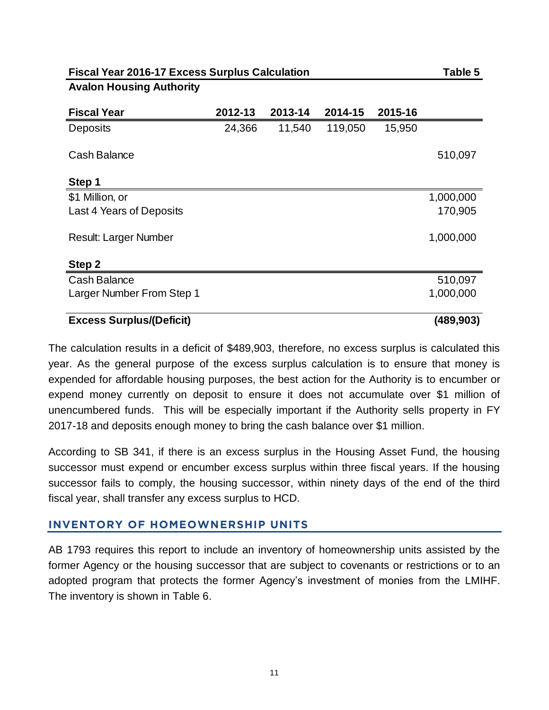### **Avalon Housing Authority**

| <b>Fiscal Year</b>              | 2012-13 | 2013-14 | 2014-15 | 2015-16 |            |
|---------------------------------|---------|---------|---------|---------|------------|
| <b>Deposits</b>                 | 24,366  | 11,540  | 119,050 | 15,950  |            |
| Cash Balance                    |         |         |         |         | 510,097    |
| Step 1                          |         |         |         |         |            |
| \$1 Million, or                 |         |         |         |         | 1,000,000  |
| Last 4 Years of Deposits        |         |         |         |         | 170,905    |
| <b>Result: Larger Number</b>    |         |         |         |         | 1,000,000  |
| Step 2                          |         |         |         |         |            |
| Cash Balance                    |         |         |         |         | 510,097    |
| Larger Number From Step 1       |         |         |         |         | 1,000,000  |
| <b>Excess Surplus/(Deficit)</b> |         |         |         |         | (489, 903) |

The calculation results in a deficit of \$489,903, therefore, no excess surplus is calculated this year. As the general purpose of the excess surplus calculation is to ensure that money is expended for affordable housing purposes, the best action for the Authority is to encumber or expend money currently on deposit to ensure it does not accumulate over \$1 million of unencumbered funds. This will be especially important if the Authority sells property in FY 2017-18 and deposits enough money to bring the cash balance over \$1 million.

According to SB 341, if there is an excess surplus in the Housing Asset Fund, the housing successor must expend or encumber excess surplus within three fiscal years. If the housing successor fails to comply, the housing successor, within ninety days of the end of the third fiscal year, shall transfer any excess surplus to HCD.

### <span id="page-12-0"></span>**INVENTORY OF HOMEOWNERSHIP UNITS**

AB 1793 requires this report to include an inventory of homeownership units assisted by the former Agency or the housing successor that are subject to covenants or restrictions or to an adopted program that protects the former Agency's investment of monies from the LMIHF. The inventory is shown in Table 6.